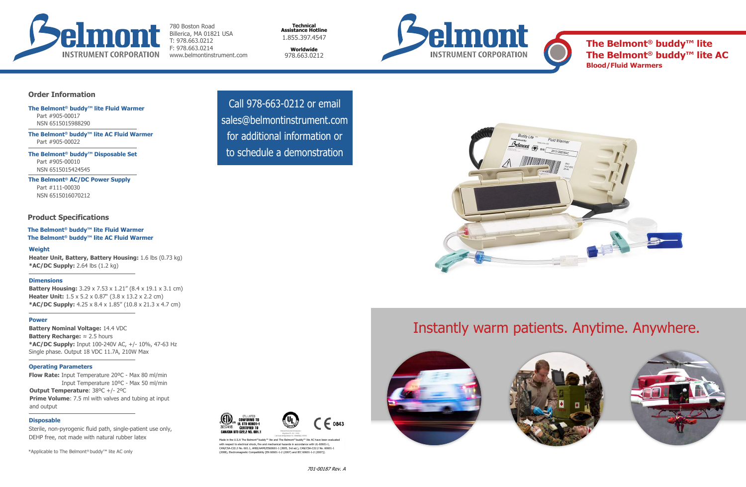

780 Boston Road Billerica, MA 01821 USA T: 978.663.0212 F: 978.663.0214 www.belmontinstrument.com

**Technical Assistance Hotline** 1.855.397.4547

**Worldwide** 978.663.0212





 $- 0843$ 



 Call 978-663-0212 or email sales@belmontinstrument.com for additional information or to schedule a demonstration

**Battery Housing:** 3.29 x 7.53 x 1.21" (8.4 x 19.1 x 3.1 cm) **Heater Unit:** 1.5 x 5.2 x 0.87" (3.8 x 13.2 x 2.2 cm) **\*AC/DC Supply:** 4.25 x 8.4 x 1.85" (10.8 x 21.3 x 4.7 cm)

## Instantly warm patients. Anytime. Anywhere.

#### **Weight**

**Heater Unit, Battery, Battery Housing:** 1.6 lbs (0.73 kg) **\*AC/DC Supply:** 2.64 lbs (1.2 kg)

#### **Dimensions**

#### **Power**

**Battery Nominal Voltage:** 14.4 VDC **Battery Recharge:** ≈ 2.5 hours **\*AC/DC Supply:** Input 100-240V AC, +/- 10%, 47-63 Hz Single phase. Output 18 VDC 11.7A, 210W Max

**Flow Rate:** Input Temperature 20ºC - Max 80 ml/min Input Temperature 10ºC - Max 50 ml/min **Output Temperature**: 38ºC +/- 2ºC **Prime Volume:** 7.5 ml with valves and tubing at input and output

> Made in the U.S.A The Belmont® buddy™ lite and The Belmont® buddy™ lite AC have been evaluated with respect to electrical shock, fire and mechanical hazards in accordance with UL-60601-1, CAN/CSA-C22.2 No. 601.1, ANSI/AAMI/ES60601-1 (2005, 3rd ed.), CAN/CSA-C22.2 No. 60601-1 (2008), Electromagnetic Compatibility [EN 60601-1-2 (2007) and IEC 60601-1-2 (2007)].

ETL LISTED CONFORMS TO<br>UL STD 60601-1

**CERTIFIED TO** CAN/CSA STD C22.2 NO. 601.1

3057418





#### **Operating Parameters**

#### **Disposable**

Sterile, non-pyrogenic fluid path, single-patient use only, DEHP free, not made with natural rubber latex

#### **Order Information**

#### **Product Specifications**

**The Belmont® buddy™ lite Fluid Warmer** Part #905-00017 NSN 6515015988290

**The Belmont® buddy™ lite AC Fluid Warmer** Part #905-00022

**The Belmont® buddy™ Disposable Set** Part #905-00010 NSN 6515015424545

**The Belmont® AC/DC Power Supply** Part #111-00030 NSN 6515016070212

**The Belmont® buddy™ lite Fluid Warmer The Belmont® buddy™ lite AC Fluid Warmer**

\*Applicable to The Belmont® buddy™ lite AC only